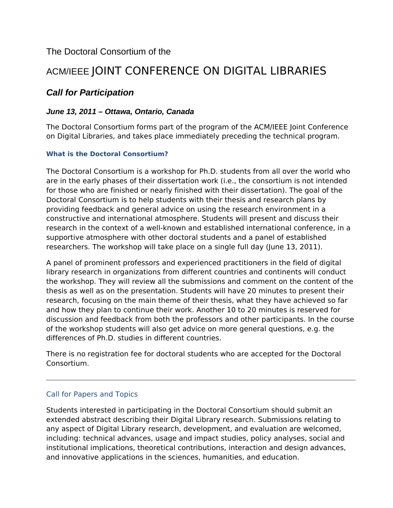## The Doctoral Consortium of the

# ACM/IEEE JOINT CONFERENCE ON DIGITAL LIBRARIES

## *Call for Participation*

### *June 13, 2011 – Ottawa, Ontario, Canada*

The Doctoral Consortium forms part of the program of the ACM/IEEE Joint Conference on Digital Libraries, and takes place immediately preceding the technical program.

#### **What is the Doctoral Consortium?**

The Doctoral Consortium is a workshop for Ph.D. students from all over the world who are in the early phases of their dissertation work (i.e., the consortium is not intended for those who are finished or nearly finished with their dissertation). The goal of the Doctoral Consortium is to help students with their thesis and research plans by providing feedback and general advice on using the research environment in a constructive and international atmosphere. Students will present and discuss their research in the context of a well-known and established international conference, in a supportive atmosphere with other doctoral students and a panel of established researchers. The workshop will take place on a single full day (June 13, 2011).

A panel of prominent professors and experienced practitioners in the field of digital library research in organizations from different countries and continents will conduct the workshop. They will review all the submissions and comment on the content of the thesis as well as on the presentation. Students will have 20 minutes to present their research, focusing on the main theme of their thesis, what they have achieved so far and how they plan to continue their work. Another 10 to 20 minutes is reserved for discussion and feedback from both the professors and other participants. In the course of the workshop students will also get advice on more general questions, e.g. the differences of Ph.D. studies in different countries.

There is no registration fee for doctoral students who are accepted for the Doctoral Consortium.

#### Call for Papers and Topics

Students interested in participating in the Doctoral Consortium should submit an extended abstract describing their Digital Library research. Submissions relating to any aspect of Digital Library research, development, and evaluation are welcomed, including: technical advances, usage and impact studies, policy analyses, social and institutional implications, theoretical contributions, interaction and design advances, and innovative applications in the sciences, humanities, and education.